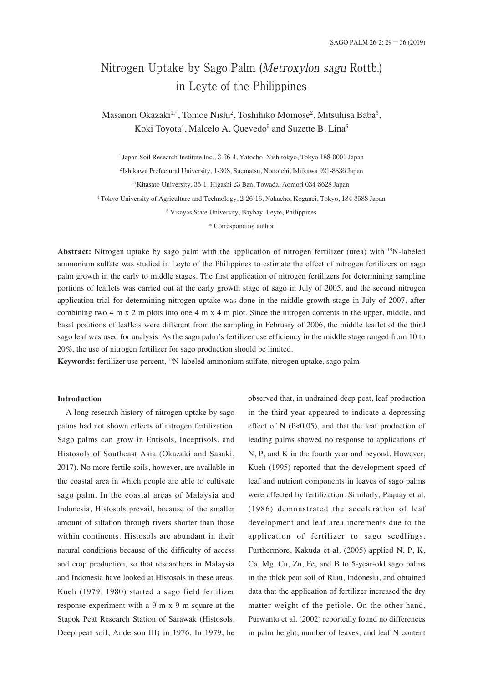# Nitrogen Uptake by Sago Palm (Metroxylon sagu Rottb.) in Leyte of the Philippines

Masanori Okazaki<sup>1,\*</sup>, Tomoe Nishi<sup>2</sup>, Toshihiko Momose<sup>2</sup>, Mitsuhisa Baba<sup>3</sup>, Koki Toyota<sup>4</sup>, Malcelo A. Quevedo<sup>5</sup> and Suzette B. Lina<sup>5</sup>

 Japan Soil Research Institute Inc., 3-26-4, Yatocho, Nishitokyo, Tokyo 188-0001 Japan Ishikawa Prefectural University, 1-308, Suematsu, Nonoichi, Ishikawa 921-8836 Japan Kitasato University, 35-1, Higashi 23 Ban, Towada, Aomori 034-8628 Japan Tokyo University of Agriculture and Technology, 2-26-16, Nakacho, Koganei, Tokyo, 184-8588 Japan Visayas State University, Baybay, Leyte, Philippines

\* Corresponding author

**Abstract:** Nitrogen uptake by sago palm with the application of nitrogen fertilizer (urea) with 15N-labeled ammonium sulfate was studied in Leyte of the Philippines to estimate the effect of nitrogen fertilizers on sago palm growth in the early to middle stages. The first application of nitrogen fertilizers for determining sampling portions of leaflets was carried out at the early growth stage of sago in July of 2005, and the second nitrogen application trial for determining nitrogen uptake was done in the middle growth stage in July of 2007, after combining two 4 m x 2 m plots into one 4 m x 4 m plot. Since the nitrogen contents in the upper, middle, and basal positions of leaflets were different from the sampling in February of 2006, the middle leaflet of the third sago leaf was used for analysis. As the sago palm's fertilizer use efficiency in the middle stage ranged from 10 to 20%, the use of nitrogen fertilizer for sago production should be limited.

**Keywords:** fertilizer use percent, 15N-labeled ammonium sulfate, nitrogen uptake, sago palm

#### **Introduction**

A long research history of nitrogen uptake by sago palms had not shown effects of nitrogen fertilization. Sago palms can grow in Entisols, Inceptisols, and Histosols of Southeast Asia (Okazaki and Sasaki, 2017). No more fertile soils, however, are available in the coastal area in which people are able to cultivate sago palm. In the coastal areas of Malaysia and Indonesia, Histosols prevail, because of the smaller amount of siltation through rivers shorter than those within continents. Histosols are abundant in their natural conditions because of the difficulty of access and crop production, so that researchers in Malaysia and Indonesia have looked at Histosols in these areas. Kueh (1979, 1980) started a sago field fertilizer response experiment with a 9 m x 9 m square at the Stapok Peat Research Station of Sarawak (Histosols, Deep peat soil, Anderson III) in 1976. In 1979, he

observed that, in undrained deep peat, leaf production in the third year appeared to indicate a depressing effect of N  $(P<0.05)$ , and that the leaf production of leading palms showed no response to applications of N, P, and K in the fourth year and beyond. However, Kueh (1995) reported that the development speed of leaf and nutrient components in leaves of sago palms were affected by fertilization. Similarly, Paquay et al. (1986) demonstrated the acceleration of leaf development and leaf area increments due to the application of fertilizer to sago seedlings. Furthermore, Kakuda et al. (2005) applied N, P, K, Ca, Mg, Cu, Zn, Fe, and B to 5-year-old sago palms in the thick peat soil of Riau, Indonesia, and obtained data that the application of fertilizer increased the dry matter weight of the petiole. On the other hand, Purwanto et al. (2002) reportedly found no differences in palm height, number of leaves, and leaf N content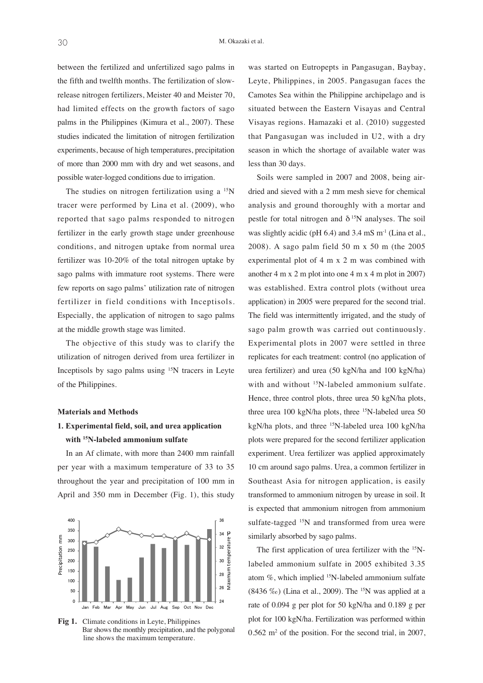between the fertilized and unfertilized sago palms in the fifth and twelfth months. The fertilization of slowrelease nitrogen fertilizers, Meister 40 and Meister 70, had limited effects on the growth factors of sago palms in the Philippines (Kimura et al., 2007). These studies indicated the limitation of nitrogen fertilization experiments, because of high temperatures, precipitation of more than 2000 mm with dry and wet seasons, and possible water-logged conditions due to irrigation.

The studies on nitrogen fertilization using a  $15N$ tracer were performed by Lina et al. (2009), who reported that sago palms responded to nitrogen fertilizer in the early growth stage under greenhouse conditions, and nitrogen uptake from normal urea fertilizer was 10-20% of the total nitrogen uptake by sago palms with immature root systems. There were few reports on sago palms' utilization rate of nitrogen fertilizer in field conditions with Inceptisols. Especially, the application of nitrogen to sago palms at the middle growth stage was limited.

The objective of this study was to clarify the utilization of nitrogen derived from urea fertilizer in Inceptisols by sago palms using  $15N$  tracers in Leyte of the Philippines.

#### **Materials and Methods**

### **1. Experimental field, soil, and urea application with 15N-labeled ammonium sulfate**

In an Af climate, with more than 2400 mm rainfall per year with a maximum temperature of 33 to 35 throughout the year and precipitation of 100 mm in April and 350 mm in December (Fig. 1), this study



 **Fig 1.** Climate conditions in Leyte, Philippines Bar shows the monthly precipitation, and the polygonal line shows the maximum temperature.

was started on Eutropepts in Pangasugan, Baybay, Leyte, Philippines, in 2005. Pangasugan faces the Camotes Sea within the Philippine archipelago and is situated between the Eastern Visayas and Central Visayas regions. Hamazaki et al. (2010) suggested that Pangasugan was included in U2, with a dry season in which the shortage of available water was less than 30 days.

Soils were sampled in 2007 and 2008, being airdried and sieved with a 2 mm mesh sieve for chemical analysis and ground thoroughly with a mortar and pestle for total nitrogen and  $\delta^{15}N$  analyses. The soil was slightly acidic (pH  $6.4$ ) and  $3.4 \text{ mS m}^{-1}$  (Lina et al., 2008). A sago palm field 50 m x 50 m (the 2005 experimental plot of 4 m x 2 m was combined with another 4 m x 2 m plot into one 4 m x 4 m plot in 2007) was established. Extra control plots (without urea application) in 2005 were prepared for the second trial. The field was intermittently irrigated, and the study of sago palm growth was carried out continuously. Experimental plots in 2007 were settled in three replicates for each treatment: control (no application of urea fertilizer) and urea (50 kgN/ha and 100 kgN/ha) with and without <sup>15</sup>N-labeled ammonium sulfate. Hence, three control plots, three urea 50 kgN/ha plots, three urea 100 kgN/ha plots, three <sup>15</sup>N-labeled urea 50 kgN/ha plots, and three 15N-labeled urea 100 kgN/ha plots were prepared for the second fertilizer application experiment. Urea fertilizer was applied approximately 10 cm around sago palms. Urea, a common fertilizer in Southeast Asia for nitrogen application, is easily transformed to ammonium nitrogen by urease in soil. It is expected that ammonium nitrogen from ammonium sulfate-tagged <sup>15</sup>N and transformed from urea were similarly absorbed by sago palms.

The first application of urea fertilizer with the <sup>15</sup>Nlabeled ammonium sulfate in 2005 exhibited 3.35 atom  $\%$ , which implied <sup>15</sup>N-labeled ammonium sulfate (8436 ‰) (Lina et al., 2009). The <sup>15</sup>N was applied at a rate of 0.094 g per plot for 50 kgN/ha and 0.189 g per plot for 100 kgN/ha. Fertilization was performed within  $0.562$  m<sup>2</sup> of the position. For the second trial, in 2007,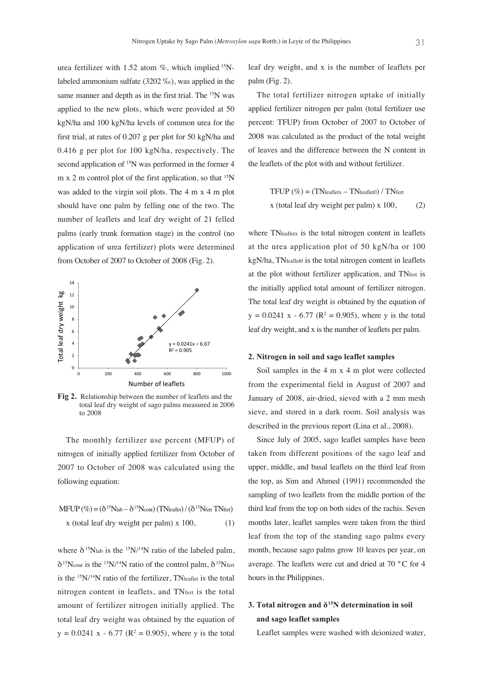urea fertilizer with 1.52 atom  $\%$ , which implied  $15N$ labeled ammonium sulfate (3202 ‰), was applied in the same manner and depth as in the first trial. The <sup>15</sup>N was applied to the new plots, which were provided at 50 kgN/ha and 100 kgN/ha levels of common urea for the first trial, at rates of 0.207 g per plot for 50 kgN/ha and 0.416 g per plot for 100 kgN/ha, respectively. The second application of <sup>15</sup>N was performed in the former 4 m x 2 m control plot of the first application, so that  $15N$ was added to the virgin soil plots. The 4 m x 4 m plot should have one palm by felling one of the two. The number of leaflets and leaf dry weight of 21 felled palms (early trunk formation stage) in the control (no application of urea fertilizer) plots were determined from October of 2007 to October of 2008 (Fig. 2).



• EVIATORSHIP between the number of realiers and the total leaf dry weight of sago palms measured in 2006 **Fig 2.** Relationship between the number of leaflets and the to 2008

The monthly fertilizer use percent (MFUP) of nitrogen of initially applied fertilizer from October of 2007 to October of 2008 was calculated using the following equation:

$$
\text{MFUP} \left( \% \right) = (\delta^{15} \text{N} \cdot \text{lab} - \delta^{15} \text{N} \cdot \text{cont}) (\text{TN} \cdot \text{k} \cdot \text{del}) / (\delta^{15} \text{N} \cdot \text{f} \cdot \text{N} \cdot \text{f} \cdot \text{d} \cdot \text{d} \cdot \text{d} \cdot \text{d} \cdot \text{d} \cdot \text{d} \cdot \text{d} \cdot \text{d} \cdot \text{d} \cdot \text{d} \cdot \text{d} \cdot \text{d} \cdot \text{d} \cdot \text{d} \cdot \text{d} \cdot \text{d} \cdot \text{d} \cdot \text{d} \cdot \text{d} \cdot \text{d} \cdot \text{d} \cdot \text{d} \cdot \text{d} \cdot \text{d} \cdot \text{d} \cdot \text{d} \cdot \text{d} \cdot \text{d} \cdot \text{d} \cdot \text{d} \cdot \text{d} \cdot \text{d} \cdot \text{d} \cdot \text{d} \cdot \text{d} \cdot \text{d} \cdot \text{d} \cdot \text{d} \cdot \text{d} \cdot \text{d} \cdot \text{d} \cdot \text{d} \cdot \text{d} \cdot \text{d} \cdot \text{d} \cdot \text{d} \cdot \text{d} \cdot \text{d} \cdot \text{d} \cdot \text{d} \cdot \text{d} \cdot \text{d} \cdot \text{d} \cdot \text{d} \cdot \text{d} \cdot \text{d} \cdot \text{d} \cdot \text{d} \cdot \text{d} \cdot \text{d} \cdot \text{d} \cdot \text{d} \cdot \text{d} \cdot \text{d} \cdot \text{d} \cdot \text{d} \cdot \text{d} \cdot \text{d} \cdot \text{d} \cdot \text{d} \cdot \text{d} \cdot \text{d} \cdot \text{d} \cdot \text{d} \cdot \text{d} \cdot \text{d} \cdot \text{d} \cdot \text{d} \cdot \text{d} \cdot \text{d} \cdot \text{d} \cdot \text{d} \cdot \text{d} \cdot \text{d} \cdot \text{d} \cdot \text{d} \cdot \text{d} \cdot \text{d} \cdot \text{d} \cdot \text{d} \cdot \text{d} \cdot \text{d} \cdot \text{d} \cdot \text{d
$$

where  $\delta^{15}$ Nlab is the  $^{15}$ N/<sup>14</sup>N ratio of the labeled palm,  $\delta^{15}$ Ncont is the <sup>15</sup>N/<sup>14</sup>N ratio of the control palm,  $\delta^{15}$ Nfert is the  $15N/14N$  ratio of the fertilizer, TN<sub>leaflet</sub> is the total nitrogen content in leaflets, and TNfert is the total amount of fertilizer nitrogen initially applied. The total leaf dry weight was obtained by the equation of  $y = 0.0241$  x - 6.77 ( $R^2 = 0.905$ ), where y is the total leaf dry weight, and x is the number of leaflets per palm (Fig. 2).

The total fertilizer nitrogen uptake of initially applied fertilizer nitrogen per palm (total fertilizer use percent: TFUP) from October of 2007 to October of 2008 was calculated as the product of the total weight of leaves and the difference between the N content in the leaflets of the plot with and without fertilizer.

TFUP (
$$
\%
$$
) = (TN<sub>leafletx</sub> – TN<sub>leaflet0</sub>) / TN<sub>fert</sub>  
x (total leaf dry weight per palm) x 100, (2)

where TNleafletx is the total nitrogen content in leaflets at the urea application plot of 50 kgN/ha or 100 kgN/ha, TNleaflet0 is the total nitrogen content in leaflets at the plot without fertilizer application, and TNfert is the initially applied total amount of fertilizer nitrogen. The total leaf dry weight is obtained by the equation of  $y = 0.0241$  x - 6.77 ( $R^2 = 0.905$ ), where y is the total leaf dry weight, and x is the number of leaflets per palm.

#### **2. Nitrogen in soil and sago leaflet samples**

Soil samples in the 4 m x 4 m plot were collected from the experimental field in August of 2007 and January of 2008, air-dried, sieved with a 2 mm mesh sieve, and stored in a dark room. Soil analysis was described in the previous report (Lina et al., 2008).

Since July of 2005, sago leaflet samples have been taken from different positions of the sago leaf and upper, middle, and basal leaflets on the third leaf from the top, as Sim and Ahmed (1991) recommended the sampling of two leaflets from the middle portion of the third leaf from the top on both sides of the rachis. Seven months later, leaflet samples were taken from the third leaf from the top of the standing sago palms every month, because sago palms grow 10 leaves per year, on average. The leaflets were cut and dried at 70 ° C for 4 hours in the Philippines.

## **3. Total nitrogen and**  $\delta^{15}N$  **determination in soil and sago leaflet samples**

Leaflet samples were washed with deionized water,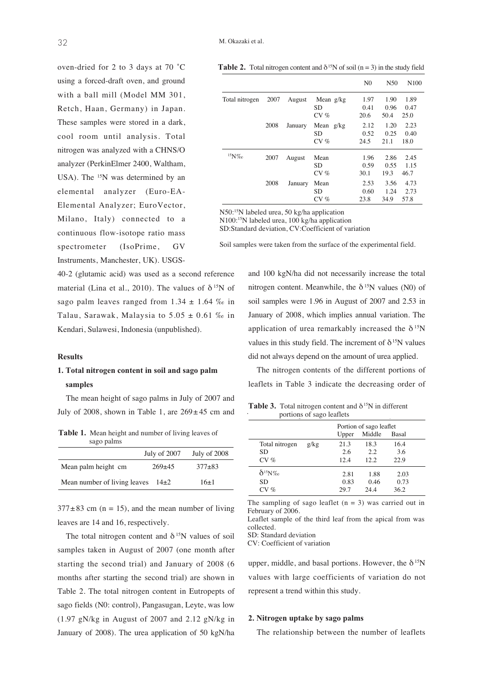oven-dried for 2 to 3 days at 70 ˚C using a forced-draft oven, and ground with a ball mill (Model MM 301, Retch, Haan, Germany) in Japan. These samples were stored in a dark, cool room until analysis. Total nitrogen was analyzed with a CHNS/O analyzer (PerkinElmer 2400, Waltham, USA). The  $15N$  was determined by an elemental analyzer (Euro-EA-Elemental Analyzer; EuroVector, Milano, Italy) connected to a continuous flow-isotope ratio mass spectrometer (IsoPrime, GV Instruments, Manchester, UK). USGS-

40-2 (glutamic acid) was used as a second reference material (Lina et al., 2010). The values of  $\delta^{15}N$  of sago palm leaves ranged from  $1.34 \pm 1.64$  % in Talau, Sarawak, Malaysia to  $5.05 \pm 0.61$  % in Kendari, Sulawesi, Indonesia (unpublished).

#### **Results**

### **1. Total nitrogen content in soil and sago palm samples**

The mean height of sago palms in July of 2007 and July of 2008, shown in Table 1, are  $269 \pm 45$  cm and

**Table 1.** Mean height and number of living leaves of sago palms

|                                        | July of 2007 | July of 2008 |
|----------------------------------------|--------------|--------------|
| Mean palm height cm                    | $269+45$     | $377 + 83$   |
| Mean number of living leaves $14\pm 2$ |              | $16+1$       |

 $377 \pm 83$  cm (n = 15), and the mean number of living leaves are 14 and 16, respectively.

The total nitrogen content and  $\delta^{15}N$  values of soil samples taken in August of 2007 (one month after starting the second trial) and January of 2008 (6 months after starting the second trial) are shown in Table 2. The total nitrogen content in Eutropepts of sago fields (N0: control), Pangasugan, Leyte, was low (1.97 gN/kg in August of 2007 and 2.12 gN/kg in January of 2008). The urea application of 50 kgN/ha

**Table 2.** Total nitrogen content and  $\delta^{15}N$  of soil (n = 3) in the study field

|                |      |         |                               | N <sub>0</sub>       | N <sub>50</sub>      | N <sub>100</sub>     |
|----------------|------|---------|-------------------------------|----------------------|----------------------|----------------------|
| Total nitrogen | 2007 | August  | Mean $g/kg$<br>SD<br>$CV \%$  | 1.97<br>0.41<br>20.6 | 1.90<br>0.96<br>50.4 | 1.89<br>0.47<br>25.0 |
|                | 2008 | January | Mean<br>g/kg<br>SD<br>$CV \%$ | 2.12<br>0.52<br>24.5 | 1.20<br>0.25<br>21.1 | 2.23<br>0.40<br>18.0 |
| ${}^{15}N\%o$  | 2007 | August  | Mean<br><b>SD</b><br>$CV \%$  | 1.96<br>0.59<br>30.1 | 2.86<br>0.55<br>19.3 | 2.45<br>1.15<br>46.7 |
|                | 2008 | January | Mean<br>SD<br>$CV \%$         | 2.53<br>0.60<br>23.8 | 3.56<br>1.24<br>34.9 | 4.73<br>2.73<br>57.8 |

N50:<sup>15</sup>N labeled urea, 50 kg/ha application

N100:<sup>15</sup>N labeled urea, 100 kg/ha application

SD:Standard deviation, CV:Coefficient of variation

Soil samples were taken from the surface of the experimental field.

and 100 kgN/ha did not necessarily increase the total nitrogen content. Meanwhile, the  $\delta^{15}N$  values (N0) of soil samples were 1.96 in August of 2007 and 2.53 in January of 2008, which implies annual variation. The application of urea remarkably increased the  $\delta^{15}N$ values in this study field. The increment of  $\delta^{15}N$  values did not always depend on the amount of urea applied.

The nitrogen contents of the different portions of leaflets in Table 3 indicate the decreasing order of

1. )& portions of sago leaflets **Table 3.** Total nitrogen content and  $\delta$ <sup>15</sup>N in different

|                  |      | Portion of sago leaflet<br>Middle<br>Basal<br>Upper |       |      |  |
|------------------|------|-----------------------------------------------------|-------|------|--|
|                  |      |                                                     |       |      |  |
| Total nitrogen   | g/kg | 21.3                                                | 18.3  | 16.4 |  |
| SD               |      | 2.6                                                 | 2.2   | 3.6  |  |
| $CV \%$          |      | 12.4                                                | 12.2. | 22.9 |  |
| $\delta^{15}N\%$ |      | 2.81                                                | 1.88  | 2.03 |  |
| SD               |      | 0.83                                                | 0.46  | 0.73 |  |
| $\sigma$         |      | 29.7                                                | 24.4  | 36.2 |  |
|                  |      |                                                     |       |      |  |

The sampling of sago leaflet  $(n = 3)$  was carried out in<br>February of 2006 February of 2006.

 collected. Leaflet sample of the third leaf from the apical from was

SD: Standard deviation

CV: Coefficient of variation

upper, middle, and basal portions. However, the  $\delta^{15}N$ values with large coefficients of variation do not represent a trend within this study.

#### **2. Nitrogen uptake by sago palms**

The relationship between the number of leaflets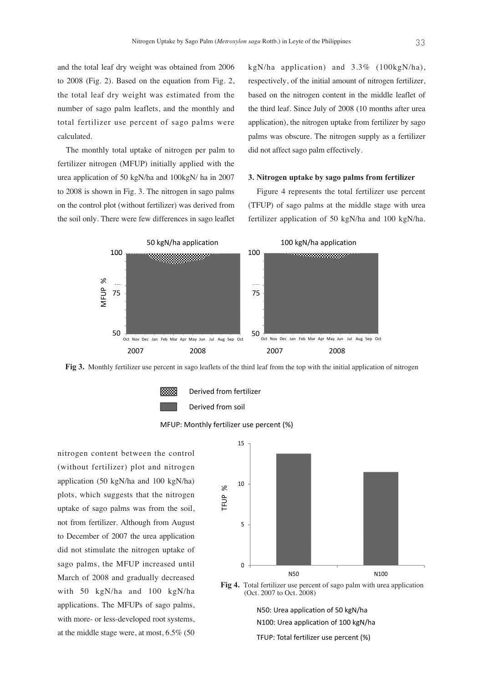and the total leaf dry weight was obtained from 2006 to 2008 (Fig. 2). Based on the equation from Fig. 2, the total leaf dry weight was estimated from the number of sago palm leaflets, and the monthly and total fertilizer use percent of sago palms were calculated.

The monthly total uptake of nitrogen per palm to fertilizer nitrogen (MFUP) initially applied with the urea application of 50 kgN/ha and 100kgN/ ha in 2007 to 2008 is shown in Fig. 3. The nitrogen in sago palms on the control plot (without fertilizer) was derived from the soil only. There were few differences in sago leaflet kgN/ha application) and 3.3% (100kgN/ha), respectively, of the initial amount of nitrogen fertilizer, based on the nitrogen content in the middle leaflet of the third leaf. Since July of 2008 (10 months after urea application), the nitrogen uptake from fertilizer by sago palms was obscure. The nitrogen supply as a fertilizer did not affect sago palm effectively.

#### **3. Nitrogen uptake by sago palms from fertilizer**

Figure 4 represents the total fertilizer use percent (TFUP) of sago palms at the middle stage with urea fertilizer application of 50 kgN/ha and 100 kgN/ha.



Fig 3. Monthly fertilizer use percent in sago leaflets of the third leaf from the top with the initial application of nitrogen



Derived from fertilizer





nitrogen content between the control (without fertilizer) plot and nitrogen application (50 kgN/ha and 100 kgN/ha) plots, which suggests that the nitrogen uptake of sago palms was from the soil, not from fertilizer. Although from August to December of 2007 the urea application did not stimulate the nitrogen uptake of sago palms, the MFUP increased until March of 2008 and gradually decreased with 50 kgN/ha and 100 kgN/ha applications. The MFUPs of sago palms, with more- or less-developed root systems, at the middle stage were, at most, 6.5% (50



Fig. 4. Total fertilizer use percent of sago palm with urea application **Fig 4.** Total fertilizer use percent of sago palm with urea application (Oct. 2007 to Oct. 2008) (Oct. 2007 to Oct. 2008)

N50: Urea application of 50 kgN/ha

N100: Urea application of 100 kgN/ha

TFUP: Total fertilizer use percent (%)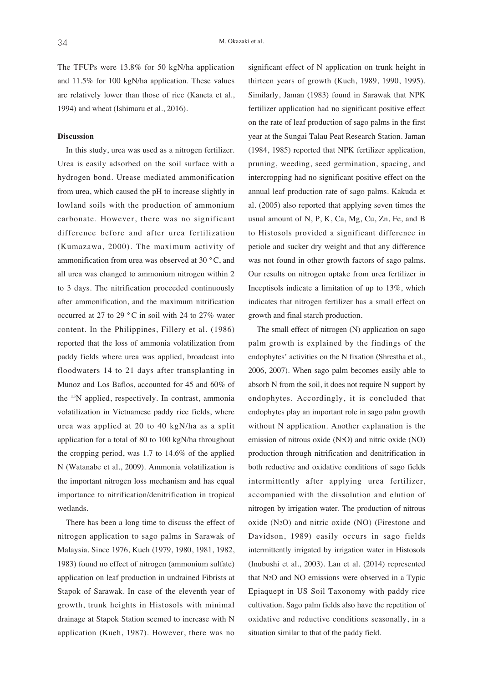The TFUPs were 13.8% for 50 kgN/ha application and 11.5% for 100 kgN/ha application. These values are relatively lower than those of rice (Kaneta et al., 1994) and wheat (Ishimaru et al., 2016).

#### **Discussion**

In this study, urea was used as a nitrogen fertilizer. Urea is easily adsorbed on the soil surface with a hydrogen bond. Urease mediated ammonification from urea, which caused the pH to increase slightly in lowland soils with the production of ammonium carbonate. However, there was no significant difference before and after urea fertilization (Kumazawa, 2000). The maximum activity of ammonification from urea was observed at 30 °C, and all urea was changed to ammonium nitrogen within 2 to 3 days. The nitrification proceeded continuously after ammonification, and the maximum nitrification occurred at 27 to 29 ° C in soil with 24 to 27% water content. In the Philippines, Fillery et al. (1986) reported that the loss of ammonia volatilization from paddy fields where urea was applied, broadcast into floodwaters 14 to 21 days after transplanting in Munoz and Los Baflos, accounted for 45 and 60% of the 15N applied, respectively. In contrast, ammonia volatilization in Vietnamese paddy rice fields, where urea was applied at 20 to 40 kgN/ha as a split application for a total of 80 to 100 kgN/ha throughout the cropping period, was 1.7 to 14.6% of the applied N (Watanabe et al., 2009). Ammonia volatilization is the important nitrogen loss mechanism and has equal importance to nitrification/denitrification in tropical wetlands.

There has been a long time to discuss the effect of nitrogen application to sago palms in Sarawak of Malaysia. Since 1976, Kueh (1979, 1980, 1981, 1982, 1983) found no effect of nitrogen (ammonium sulfate) application on leaf production in undrained Fibrists at Stapok of Sarawak. In case of the eleventh year of growth, trunk heights in Histosols with minimal drainage at Stapok Station seemed to increase with N application (Kueh, 1987). However, there was no

significant effect of N application on trunk height in thirteen years of growth (Kueh, 1989, 1990, 1995). Similarly, Jaman (1983) found in Sarawak that NPK fertilizer application had no significant positive effect on the rate of leaf production of sago palms in the first year at the Sungai Talau Peat Research Station. Jaman (1984, 1985) reported that NPK fertilizer application, pruning, weeding, seed germination, spacing, and intercropping had no significant positive effect on the annual leaf production rate of sago palms. Kakuda et al. (2005) also reported that applying seven times the usual amount of N, P, K, Ca, Mg, Cu, Zn, Fe, and B to Histosols provided a significant difference in petiole and sucker dry weight and that any difference was not found in other growth factors of sago palms. Our results on nitrogen uptake from urea fertilizer in Inceptisols indicate a limitation of up to 13%, which indicates that nitrogen fertilizer has a small effect on growth and final starch production.

The small effect of nitrogen (N) application on sago palm growth is explained by the findings of the endophytes' activities on the N fixation (Shrestha et al., 2006, 2007). When sago palm becomes easily able to absorb N from the soil, it does not require N support by endophytes. Accordingly, it is concluded that endophytes play an important role in sago palm growth without N application. Another explanation is the emission of nitrous oxide (N2O) and nitric oxide (NO) production through nitrification and denitrification in both reductive and oxidative conditions of sago fields intermittently after applying urea fertilizer, accompanied with the dissolution and elution of nitrogen by irrigation water. The production of nitrous oxide (N2O) and nitric oxide (NO) (Firestone and Davidson, 1989) easily occurs in sago fields intermittently irrigated by irrigation water in Histosols (Inubushi et al., 2003). Lan et al. (2014) represented that N2O and NO emissions were observed in a Typic Epiaquept in US Soil Taxonomy with paddy rice cultivation. Sago palm fields also have the repetition of oxidative and reductive conditions seasonally, in a situation similar to that of the paddy field.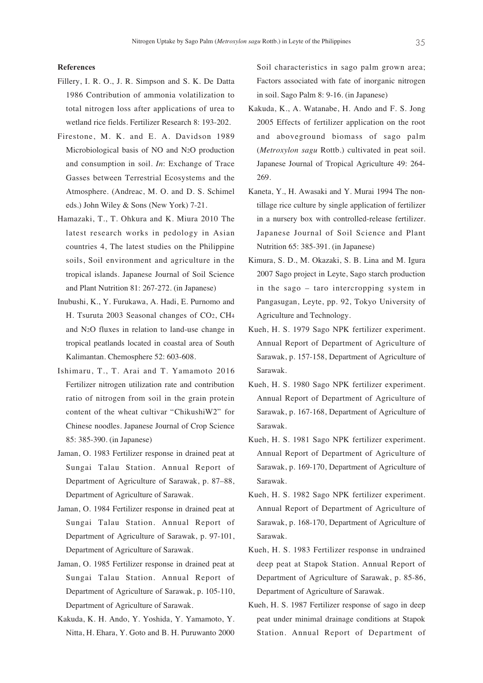### **References**

- Fillery, I. R. O., J. R. Simpson and S. K. De Datta 1986 Contribution of ammonia volatilization to total nitrogen loss after applications of urea to wetland rice fields. Fertilizer Research 8: 193-202.
- Firestone, M. K. and E. A. Davidson 1989 Microbiological basis of NO and N2O production and consumption in soil. *In*: Exchange of Trace Gasses between Terrestrial Ecosystems and the Atmosphere. (Andreac, M. O. and D. S. Schimel eds.) John Wiley & Sons (New York) 7-21.
- Hamazaki, T., T. Ohkura and K. Miura 2010 The latest research works in pedology in Asian countries 4, The latest studies on the Philippine soils, Soil environment and agriculture in the tropical islands. Japanese Journal of Soil Science and Plant Nutrition 81: 267-272. (in Japanese)
- Inubushi, K., Y. Furukawa, A. Hadi, E. Purnomo and H. Tsuruta 2003 Seasonal changes of CO2, CH4 and N2O fluxes in relation to land-use change in tropical peatlands located in coastal area of South Kalimantan. Chemosphere 52: 603-608.
- Ishimaru, T., T. Arai and T. Yamamoto 2016 Fertilizer nitrogen utilization rate and contribution ratio of nitrogen from soil in the grain protein content of the wheat cultivar "ChikushiW2" for Chinese noodles. Japanese Journal of Crop Science 85: 385-390. (in Japanese)
- Jaman, O. 1983 Fertilizer response in drained peat at Sungai Talau Station. Annual Report of Department of Agriculture of Sarawak, p. 87–88, Department of Agriculture of Sarawak.
- Jaman, O. 1984 Fertilizer response in drained peat at Sungai Talau Station. Annual Report of Department of Agriculture of Sarawak, p. 97-101, Department of Agriculture of Sarawak.
- Jaman, O. 1985 Fertilizer response in drained peat at Sungai Talau Station. Annual Report of Department of Agriculture of Sarawak, p. 105-110, Department of Agriculture of Sarawak.
- Kakuda, K. H. Ando, Y. Yoshida, Y. Yamamoto, Y. Nitta, H. Ehara, Y. Goto and B. H. Puruwanto 2000

Soil characteristics in sago palm grown area; Factors associated with fate of inorganic nitrogen in soil. Sago Palm 8: 9-16. (in Japanese)

- Kakuda, K., A. Watanabe, H. Ando and F. S. Jong 2005 Effects of fertilizer application on the root and aboveground biomass of sago palm (*Metroxylon sagu* Rottb.) cultivated in peat soil. Japanese Journal of Tropical Agriculture 49: 264- 269.
- Kaneta, Y., H. Awasaki and Y. Murai 1994 The nontillage rice culture by single application of fertilizer in a nursery box with controlled-release fertilizer. Japanese Journal of Soil Science and Plant Nutrition 65: 385-391. (in Japanese)
- Kimura, S. D., M. Okazaki, S. B. Lina and M. Igura 2007 Sago project in Leyte, Sago starch production in the sago – taro intercropping system in Pangasugan, Leyte, pp. 92, Tokyo University of Agriculture and Technology.
- Kueh, H. S. 1979 Sago NPK fertilizer experiment. Annual Report of Department of Agriculture of Sarawak, p. 157-158, Department of Agriculture of Sarawak.
- Kueh, H. S. 1980 Sago NPK fertilizer experiment. Annual Report of Department of Agriculture of Sarawak, p. 167-168, Department of Agriculture of Sarawak.
- Kueh, H. S. 1981 Sago NPK fertilizer experiment. Annual Report of Department of Agriculture of Sarawak, p. 169-170, Department of Agriculture of Sarawak.
- Kueh, H. S. 1982 Sago NPK fertilizer experiment. Annual Report of Department of Agriculture of Sarawak, p. 168-170, Department of Agriculture of Sarawak.
- Kueh, H. S. 1983 Fertilizer response in undrained deep peat at Stapok Station. Annual Report of Department of Agriculture of Sarawak, p. 85-86, Department of Agriculture of Sarawak.
- Kueh, H. S. 1987 Fertilizer response of sago in deep peat under minimal drainage conditions at Stapok Station. Annual Report of Department of